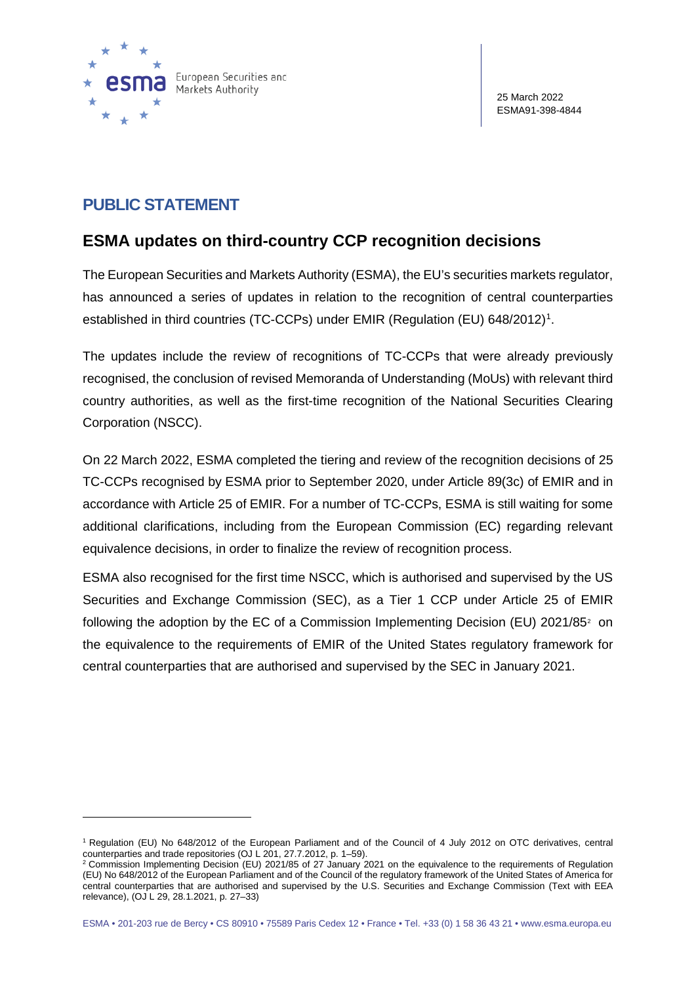

## **PUBLIC STATEMENT**

## **ESMA updates on third-country CCP recognition decisions**

The European Securities and Markets Authority (ESMA), the EU's securities markets regulator, has announced a series of updates in relation to the recognition of central counterparties established in third countries (TC-CCPs) under EMIR (Regulation (EU) 648/20[1](#page-0-0)2)<sup>1</sup>.

The updates include the review of recognitions of TC-CCPs that were already previously recognised, the conclusion of revised Memoranda of Understanding (MoUs) with relevant third country authorities, as well as the first-time recognition of the National Securities Clearing Corporation (NSCC).

On 22 March 2022, ESMA completed the tiering and review of the recognition decisions of 25 TC-CCPs recognised by ESMA prior to September 2020, under Article 89(3c) of EMIR and in accordance with Article 25 of EMIR. For a number of TC-CCPs, ESMA is still waiting for some additional clarifications, including from the European Commission (EC) regarding relevant equivalence decisions, in order to finalize the review of recognition process.

ESMA also recognised for the first time NSCC, which is authorised and supervised by the US Securities and Exchange Commission (SEC), as a Tier 1 CCP under Article 25 of EMIR following the adoption by the EC of a Commission Implementing Decision (EU) [2](#page-0-1)021/85<sup>2</sup> on the equivalence to the requirements of EMIR of the United States regulatory framework for central counterparties that are authorised and supervised by the SEC in January 2021.

<span id="page-0-0"></span><sup>1</sup> Regulation (EU) No 648/2012 of the European Parliament and of the Council of 4 July 2012 on OTC derivatives, central counterparties and trade repositories (OJ L 201, 27.7.2012, p. 1–59).

<span id="page-0-1"></span><sup>2</sup> Commission Implementing Decision (EU) 2021/85 of 27 January 2021 on the equivalence to the requirements of Regulation (EU) No 648/2012 of the European Parliament and of the Council of the regulatory framework of the United States of America for central counterparties that are authorised and supervised by the U.S. Securities and Exchange Commission (Text with EEA relevance), (OJ L 29, 28.1.2021, p. 27–33)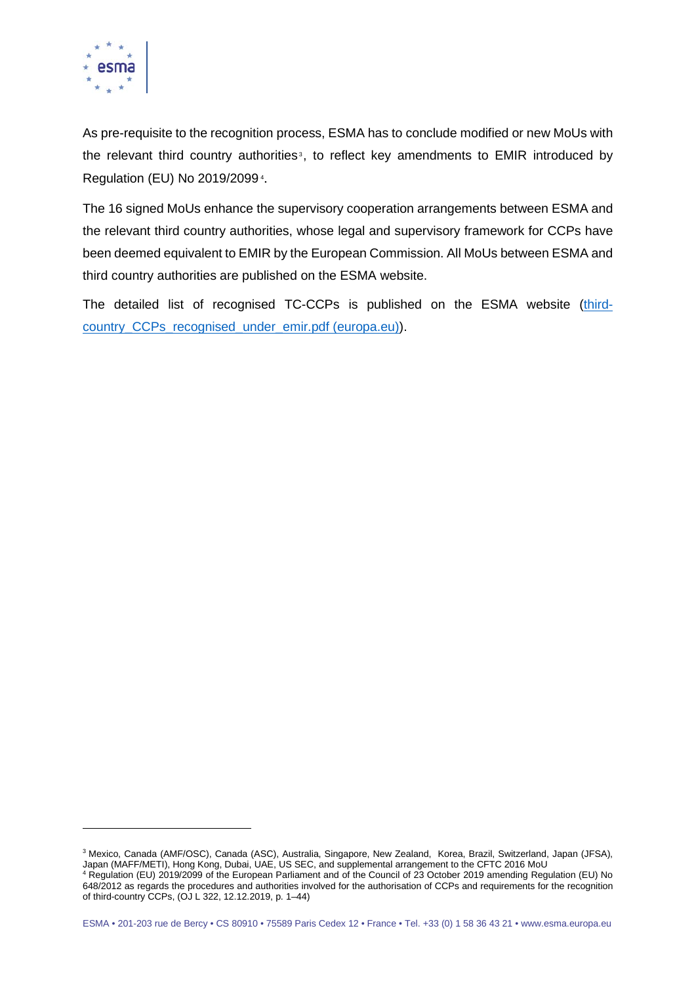

As pre-requisite to the recognition process, ESMA has to conclude modified or new MoUs with the relevant third country authorities<sup>[3](#page-1-0)</sup>, to reflect key amendments to EMIR introduced by Regulation (EU) No 2019/2099 [4](#page-1-1) .

The 16 signed MoUs enhance the supervisory cooperation arrangements between ESMA and the relevant third country authorities, whose legal and supervisory framework for CCPs have been deemed equivalent to EMIR by the European Commission. All MoUs between ESMA and third country authorities are published on the ESMA website.

The detailed list of recognised TC-CCPs is published on the ESMA website [\(third](https://www.esma.europa.eu/sites/default/files/library/third-country_ccps_recognised_under_emir.pdf)country CCPs recognised under emir.pdf (europa.eu)).

<span id="page-1-1"></span><span id="page-1-0"></span><sup>3</sup> Mexico, Canada (AMF/OSC), Canada (ASC), Australia, Singapore, New Zealand, Korea, Brazil, Switzerland, Japan (JFSA), Japan (MAFF/METI), Hong Kong, Dubai, UAE, US SEC, and supplemental arrangement to the CFTC 2016 MoU <sup>4</sup> Regulation (EU) 2019/2099 of the European Parliament and of the Council of 23 October 2019 amending Regulation (EU) No 648/2012 as regards the procedures and authorities involved for the authorisation of CCPs and requirements for the recognition of third-country CCPs, (OJ L 322, 12.12.2019, p. 1–44)